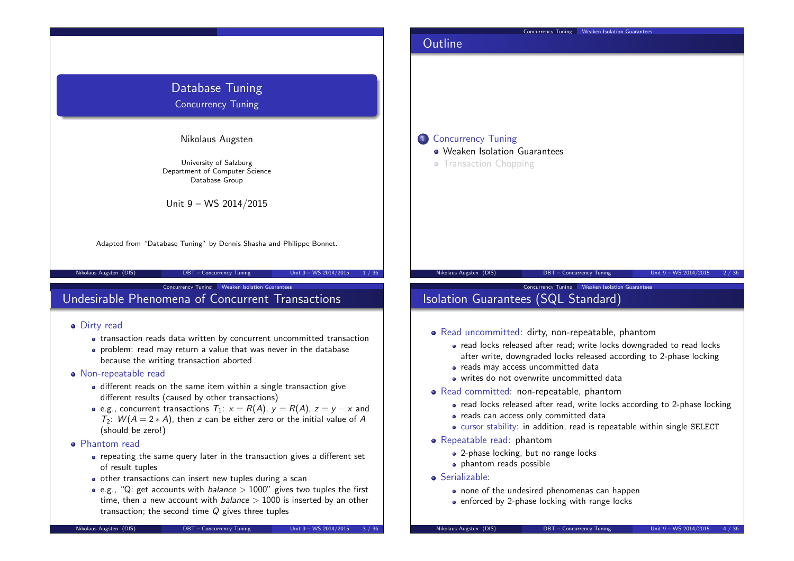

- transaction reads data written by concurrent uncommitted transaction
- problem: read may return a value that was never in the database because the writing transaction aborted
- Non-repeatable read
	- different reads on the same item within a single transaction give different results (caused by other transactions)
	- e.g., concurrent transactions  $T_1: x = R(A), y = R(A), z = y x$  and  $T_2$ :  $W(A = 2*A)$ , then z can be either zero or the initial value of A (should be zero!)
- Phantom read
	- repeating the same query later in the transaction gives a different set of result tuples
	- o other transactions can insert new tuples during a scan
	- e.g., "Q: get accounts with *balance*  $> 1000$ " gives two tuples the first time, then a new account with  $balance > 1000$  is inserted by an other transaction; the second time  $Q$  gives three tuples

Serializable:

• Repeatable read: phantom

**•** phantom reads possible

• read locks released after read; write locks downgraded to read locks after write, downgraded locks released according to 2-phase locking

• read locks released after read, write locks according to 2-phase locking

cursor stability: in addition, read is repeatable within single SELECT

• reads may access uncommitted data writes do not overwrite uncommitted data • Read committed: non-repeatable, phantom

• reads can access only committed data

• 2-phase locking, but no range locks

• none of the undesired phenomenas can happen • enforced by 2-phase locking with range locks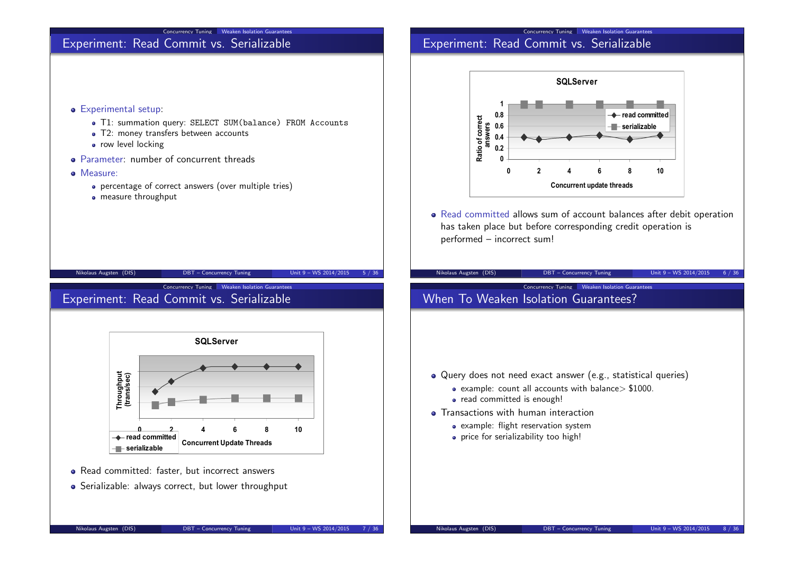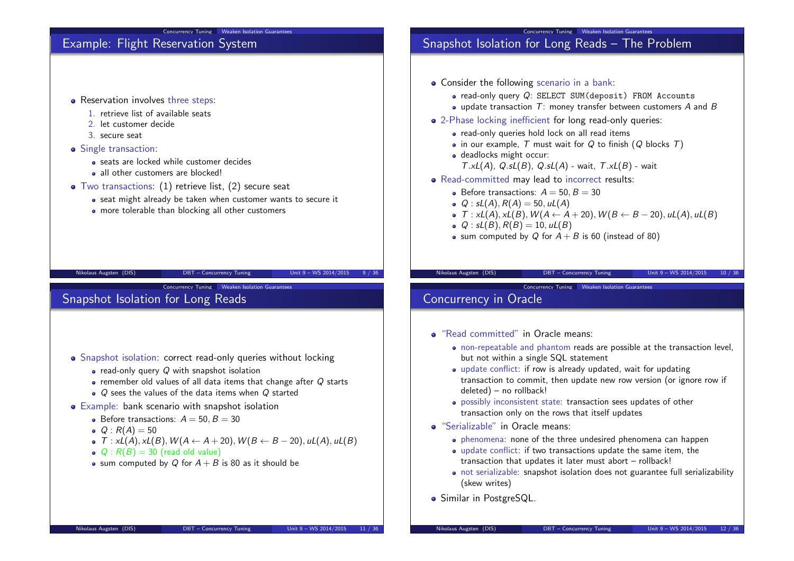# Example: Flight Reservation System

- Reservation involves three steps:
	- 1. retrieve list of available seats
	- 2. let customer decide
	- 3. secure seat
- Single transaction:
	- seats are locked while customer decides
	- all other customers are blocked!
- Two transactions: (1) retrieve list, (2) secure seat
	- seat might already be taken when customer wants to secure it

Concurrency Tuning Weaken Isolation Guarantees

• more tolerable than blocking all other customers

| likolaus Augsten (DIS) |  |
|------------------------|--|

DBT – Concurrency Tuning Unit 9 – WS 2014/2015

Concurrency Tuning Weaken Isolation Guarantees

# Snapshot Isolation for Long Reads

- Snapshot isolation: correct read-only queries without locking
	- $\bullet$  read-only query  $Q$  with snapshot isolation
	- $\bullet$  remember old values of all data items that change after  $Q$  starts
	- $\bullet$  Q sees the values of the data items when Q started
- Example: bank scenario with snapshot isolation
	- $\bullet$  Before transactions:  $A = 50, B = 30$
	- $Q : R(A) = 50$
	- $\bullet$   $\mathcal{T}: xL(A), xL(B), W(A \leftarrow A + 20), W(B \leftarrow B 20), uL(A), uL(B)$
	- $Q: R(B) = 30$  (read old value)
	- sum computed by Q for  $A + B$  is 80 as it should be

# Snapshot Isolation for Long Reads – The Problem

- Consider the following scenario in a bank:
	- $\bullet$  read-only query  $Q$ : SELECT SUM(deposit) FROM Accounts
	- $\bullet$  update transaction  $T$ : money transfer between customers  $A$  and  $B$

Concurrency Tuning Weaken Isolation Guarantees

- 2-Phase locking inefficient for long read-only queries:
	- read-only queries hold lock on all read items
	- in our example,  $T$  must wait for  $Q$  to finish  $(Q$  blocks  $T)$
	- deadlocks might occur:  $T.xL(A)$ ,  $Q.sL(B)$ ,  $Q.sL(A)$  - wait,  $T.xL(B)$  - wait
- Read-committed may lead to incorrect results:
	- $\bullet$  Before transactions:  $A = 50$ ,  $B = 30$
	- $Q : SL(A), R(A) = 50, uL(A)$
	- $\bullet$  T : xL(A), xL(B),  $W(A \leftarrow A + 20)$ ,  $W(B \leftarrow B 20)$ , uL(A), uL(B)
	- $Q : SL(B), R(B) = 10, uL(B)$
	- sum computed by Q for  $A + B$  is 60 (instead of 80)

### Nikolaus Augsten (DIS) DBT – Concurrency Tuning Unit 9 – WS 2014/2015 10 / 36

Concurrency Tuning Weaken Isolation Guarantees

- Concurrency in Oracle
- "Read committed" in Oracle means:
	- non-repeatable and phantom reads are possible at the transaction level, but not within a single SQL statement
	- update conflict: if row is already updated, wait for updating transaction to commit, then update new row version (or ignore row if deleted) – no rollback!
	- possibly inconsistent state: transaction sees updates of other transaction only on the rows that itself updates
- "Serializable" in Oracle means:
	- phenomena: none of the three undesired phenomena can happen
	- update conflict: if two transactions update the same item, the transaction that updates it later must abort – rollback!
	- not serializable: snapshot isolation does not guarantee full serializability (skew writes)
- **·** Similar in PostgreSQL.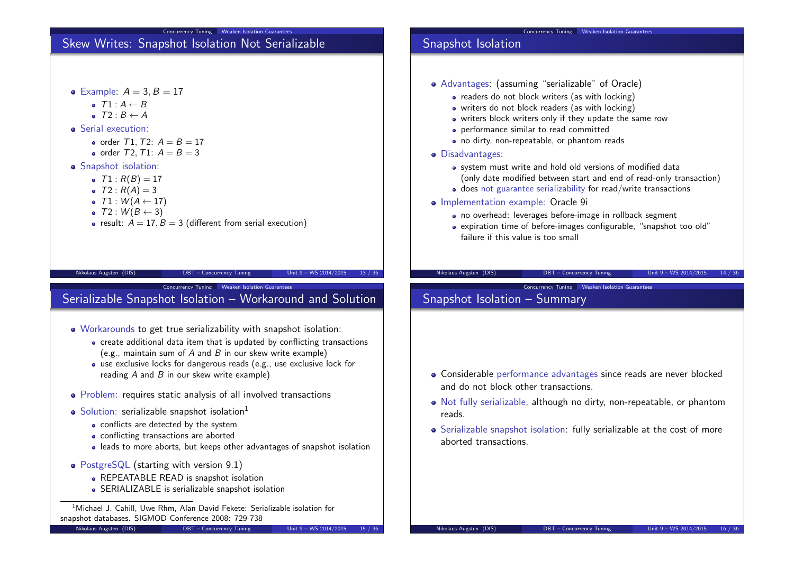# Skew Writes: Snapshot Isolation Not Serializable

Concurrency Tuning Weaken Isolation Guarantees

- Example:  $A = 3, B = 17$ 
	- $\bullet$   $T1 \cdot A \leftarrow B$
	- $\bullet$   $T2 : B \leftarrow A$
- **Serial execution:** 
	- order  $T1, T2$ :  $A = B = 17$
	- order  $T2$ ,  $T1: A = B = 3$
- **•** Snapshot isolation:
	- $T1: R(B) = 17$
	- $T2 : R(A) = 3$
	- $\bullet$  T1 :  $W(A \leftarrow 17)$
	- $\bullet$  T2 :  $W(B \leftarrow 3)$
	- result:  $A = 17$ ,  $B = 3$  (different from serial execution)

#### Nikolaus Augsten (DIS) DBT – Concurrency Tuning Unit 9 – WS 2014/2015 13 / 36

Concurrency Tuning Weaken Isolation Guarantees

# Serializable Snapshot Isolation – Workaround and Solution

- Workarounds to get true serializability with snapshot isolation:
	- create additional data item that is updated by conflicting transactions (e.g., maintain sum of A and B in our skew write example)
	- use exclusive locks for dangerous reads (e.g., use exclusive lock for reading  $A$  and  $B$  in our skew write example)
- Problem: requires static analysis of all involved transactions
- $\bullet$  Solution: serializable snapshot isolation<sup>1</sup>
	- conflicts are detected by the system
	- conflicting transactions are aborted
	- leads to more aborts, but keeps other advantages of snapshot isolation
- PostgreSQL (starting with version 9.1)
	- **REPEATABLE READ is snapshot isolation**
	- SERIALIZABLE is serializable snapshot isolation

<sup>1</sup> Michael J. Cahill, Uwe Rhm. Alan David Fekete: Serializable isolation for snapshot databases. SIGMOD Conference 2008: 729-738

# Snapshot Isolation

- Advantages: (assuming "serializable" of Oracle)
	- readers do not block writers (as with locking)
	- writers do not block readers (as with locking)
	- writers block writers only if they update the same row
	- performance similar to read committed
	- no dirty, non-repeatable, or phantom reads
- Disadvantages:
	- system must write and hold old versions of modified data (only date modified between start and end of read-only transaction)

Concurrency Tuning Meaken Isolation Guarantee

- does not guarantee serializability for read/write transactions
- **·** Implementation example: Oracle 9i
	- no overhead: leverages before-image in rollback segment
	- expiration time of before-images configurable, "snapshot too old" failure if this value is too small

### Nikolaus Augsten (DIS) DBT – Concurrency Tuning Unit 9 – WS 2014/2015 14 / 36

Concurrency Tuning Weaken Isolation Guarantees

# Snapshot Isolation – Summary

- Considerable performance advantages since reads are never blocked and do not block other transactions.
- Not fully serializable, although no dirty, non-repeatable, or phantom reads.
- Serializable snapshot isolation: fully serializable at the cost of more aborted transactions.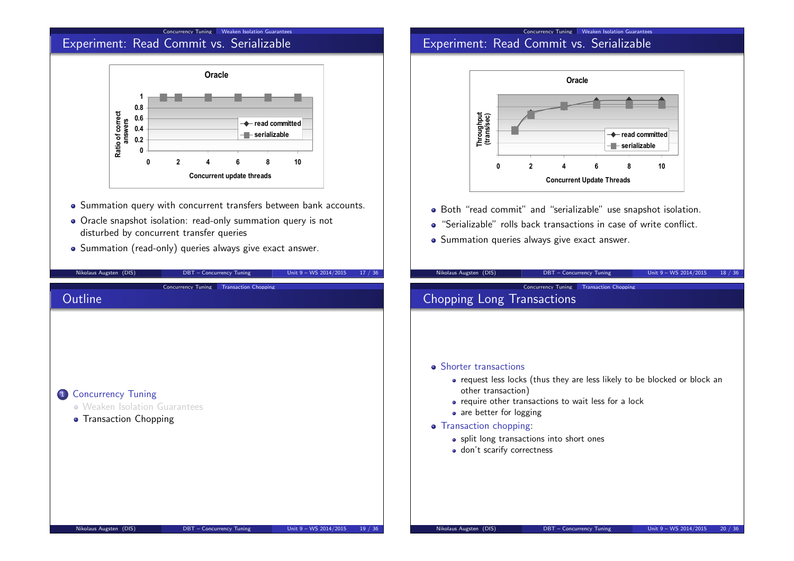### Concurrency Tuning Weaken Isolation Guarantees Experiment: Read Commit vs. Serializable



- Summation query with concurrent transfers between bank accounts.
- Oracle snapshot isolation: read-only summation query is not disturbed by concurrent transfer queries
- Summation (read-only) queries always give exact answer.

### Concurrency Tuning Weaken Isolation Guarantees Experiment: Read Commit vs. Serializable



- Both "read commit" and "serializable" use snapshot isolation.
- "Serializable" rolls back transactions in case of write conflict.
- Summation queries always give exact answer.

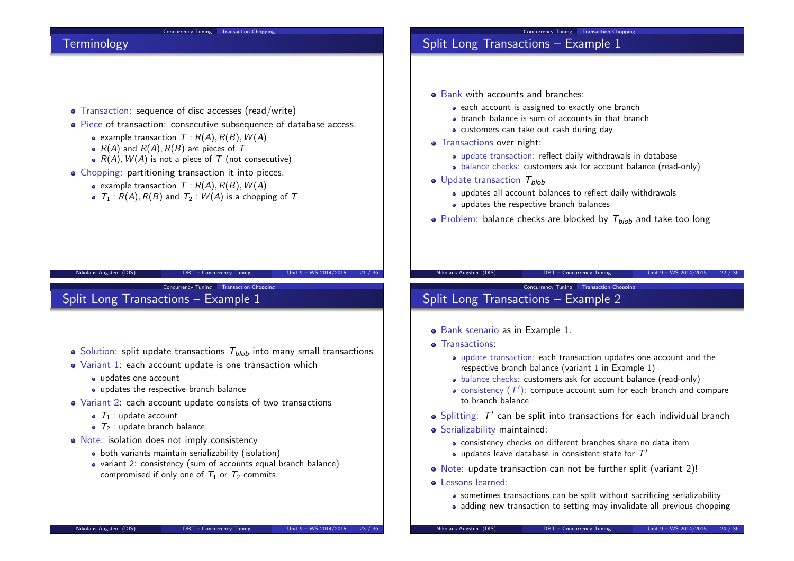#### Concurrency Tuning Transaction Chopping

### Concurrency Tuning Transaction Chopping Split Long Transactions – Example 1

### **Terminology**

- Transaction: sequence of disc accesses (read/write)
- Piece of transaction: consecutive subsequence of database access.
	- example transaction  $T : R(A), R(B), W(A)$
	- $R(A)$  and  $R(A)$ ,  $R(B)$  are pieces of T
	- $R(A)$ ,  $W(A)$  is not a piece of T (not consecutive)
- Chopping: partitioning transaction it into pieces.
	- example transaction  $T : R(A), R(B), W(A)$
	- $T_1 : R(A), R(B)$  and  $T_2 : W(A)$  is a chopping of T

### Nikolaus Augsten (DIS) DBT – Concurrency Tuning Unit 9 – WS 2014/2015 21 / 36

Concurrency Tuning Transaction Chopping

Split Long Transactions – Example 1

- $\bullet$  Solution: split update transactions  $T_{blob}$  into many small transactions
- Variant 1: each account update is one transaction which
	- updates one account
	- updates the respective branch balance
- Variant 2: each account update consists of two transactions
	- $\bullet$   $\tau_1$  : update account
	- $\bullet$   $\tau_2$  : update branch balance
- Note: isolation does not imply consistency
	- both variants maintain serializability (isolation)
	- variant 2: consistency (sum of accounts equal branch balance) compromised if only one of  $T_1$  or  $T_2$  commits.

### • Bank with accounts and branches:

- each account is assigned to exactly one branch
- branch balance is sum of accounts in that branch
- customers can take out cash during day
- **•** Transactions over night:
	- update transaction: reflect daily withdrawals in database
	- balance checks: customers ask for account balance (read-only)
- $\bullet$  Update transaction  $T_{blob}$ 
	- updates all account balances to reflect daily withdrawals
	- updates the respective branch balances
- Problem: balance checks are blocked by  $T_{\text{blob}}$  and take too long

### Nikolaus Augsten (DIS) DBT – Concurrency Tuning Unit 9 – WS 2014/2015 22 / 36

Concurrency Tuning Transaction Chopping

# Split Long Transactions – Example 2

- Bank scenario as in Example 1.
- **•** Transactions:
	- update transaction: each transaction updates one account and the respective branch balance (variant 1 in Example 1)
	- balance checks: customers ask for account balance (read-only)
	- consistency  $(T^{\prime})$ : compute account sum for each branch and compare to branch balance
- Splitting:  $T'$  can be split into transactions for each individual branch
- Serializability maintained:
	- consistency checks on different branches share no data item
	- updates leave database in consistent state for  $\mathcal{T}'$
- Note: update transaction can not be further split (variant 2)!
- o Lessons learned:
	- sometimes transactions can be split without sacrificing serializability
	- adding new transaction to setting may invalidate all previous chopping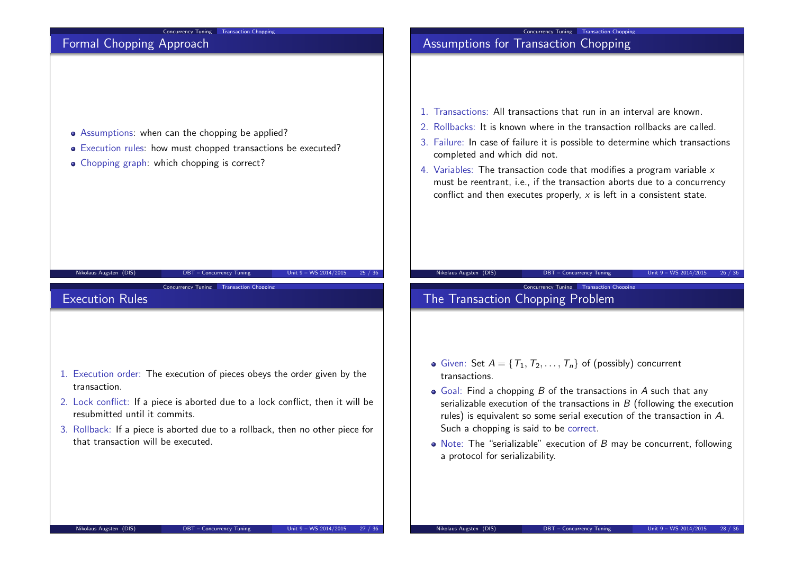# Concurrency Tuning Transaction Chopping Formal Chopping Approach • Assumptions: when can the chopping be applied? Execution rules: how must chopped transactions be executed? • Chopping graph: which chopping is correct? Nikolaus Augsten (DIS) DBT – Concurrency Tuning Unit 9 – WS 2014/2015 25 / 36 Concurrency Tuning Transaction Chopping Assumptions for Transaction Chopping 1. Transactions: All transactions that run in an interval are known. 2. Rollbacks: It is known where in the transaction rollbacks are called. 3. Failure: In case of failure it is possible to determine which transactions completed and which did not. 4. Variables: The transaction code that modifies a program variable  $x$ must be reentrant, i.e., if the transaction aborts due to a concurrency conflict and then executes properly,  $x$  is left in a consistent state. Nikolaus Augsten (DIS) DBT – Concurrency Tuning Unit 9 – WS 2014/2015 26 / 36 Concurrency Tuning Transaction Cho Execution Rules 1. Execution order: The execution of pieces obeys the order given by the transaction. 2. Lock conflict: If a piece is aborted due to a lock conflict, then it will be resubmitted until it commits. 3. Rollback: If a piece is aborted due to a rollback, then no other piece for that transaction will be executed. Concurrency Tuning Transaction Chopping The Transaction Chopping Problem • Given: Set  $A = \{T_1, T_2, \ldots, T_n\}$  of (possibly) concurrent transactions.  $\bullet$  Goal: Find a chopping B of the transactions in A such that any serializable execution of the transactions in  $B$  (following the execution rules) is equivalent so some serial execution of the transaction in A. Such a chopping is said to be correct. • Note: The "serializable" execution of B may be concurrent, following a protocol for serializability.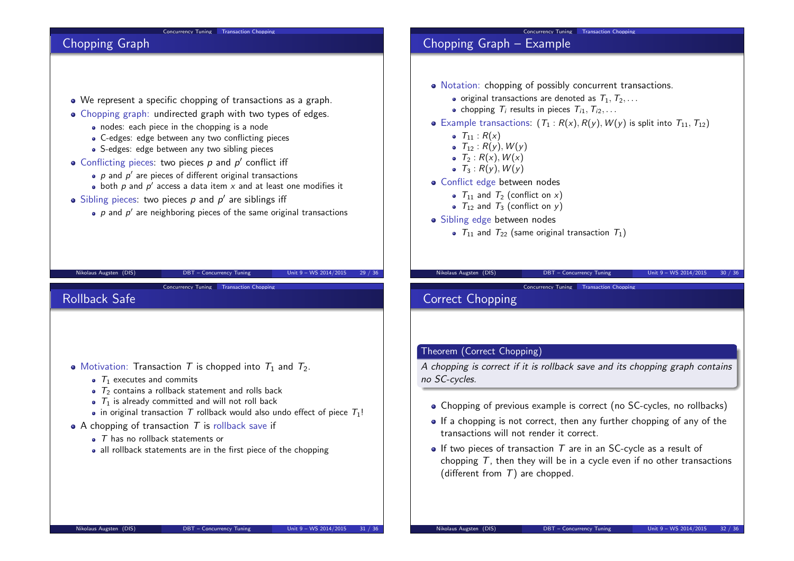#### Concurrency Tuning Transaction Chopping

#### Concurrency Tuning Transaction Chopping

## Chopping Graph

- We represent a specific chopping of transactions as a graph.
- Chopping graph: undirected graph with two types of edges.
	- nodes: each piece in the chopping is a node
	- C-edges: edge between any two conflicting pieces
	- S-edges: edge between any two sibling pieces
- Conflicting pieces: two pieces  $p$  and  $p'$  conflict iff
	- $\rho$  and  $\rho'$  are pieces of different original transactions
	- both  $\rho$  and  $\rho'$  access a data item  $x$  and at least one modifies it
- Sibling pieces: two pieces  $p$  and  $p'$  are siblings iff
	- $\rho$  and  $\rho'$  are neighboring pieces of the same original transactions

Nikolaus Augsten (DIS) DBT – Concurrency Tuning Unit 9 – WS 2014/2015 29 / 36

Concurrency Tuning Transaction Cho

# Chopping Graph – Example

- Notation: chopping of possibly concurrent transactions.
	- $\bullet$  original transactions are denoted as  $T_1, T_2, \ldots$
	- chopping  $T_i$  results in pieces  $T_{i1}, T_{i2}, \ldots$
- Example transactions:  $(T_1 : R(x), R(y), W(y)$  is split into  $T_{11}, T_{12}$ )
	- $T_{11} : R(x)$
	- $T_{12}$  :  $R(y)$ ,  $W(y)$
	- $\bullet$   $\overline{I}_2$  :  $R(x)$ ,  $W(x)$
	- $\bullet$   $\tau_3$ :  $R(v)$ ,  $W(v)$
- Conflict edge between nodes
	- $T_{11}$  and  $T_2$  (conflict on x)
	- $T_{12}$  and  $T_3$  (conflict on y)
- Sibling edge between nodes
	- $T_{11}$  and  $T_{22}$  (same original transaction  $T_1$ )

#### Nikolaus Augsten (DIS) DBT – Concurrency Tuning Unit 9 – WS 2014/2015 30 / 36

Concurrency Tuning Transaction Choppi

### Correct Chopping

### Theorem (Correct Chopping)

A chopping is correct if it is rollback save and its chopping graph contains no SC-cycles.

- Chopping of previous example is correct (no SC-cycles, no rollbacks)
- If a chopping is not correct, then any further chopping of any of the transactions will not render it correct.
- $\bullet$  If two pieces of transaction T are in an SC-cycle as a result of chopping  $T$ , then they will be in a cycle even if no other transactions (different from  $T$ ) are chopped.

| • Motivation: Transaction T is chopped into $T_1$ and $T_2$ . |  |  |  |
|---------------------------------------------------------------|--|--|--|
|---------------------------------------------------------------|--|--|--|

- $\bullet$   $\tau_1$  executes and commits
- $\bullet$   $\tau$ <sub>2</sub> contains a rollback statement and rolls back
- $\bullet$   $\tau_1$  is already committed and will not roll back
- in original transaction T rollback would also undo effect of piece  $T_1!$
- A chopping of transaction  $T$  is rollback save if
	- $\bullet$   $\top$  has no rollback statements or
	- all rollback statements are in the first piece of the chopping

Rollback Safe